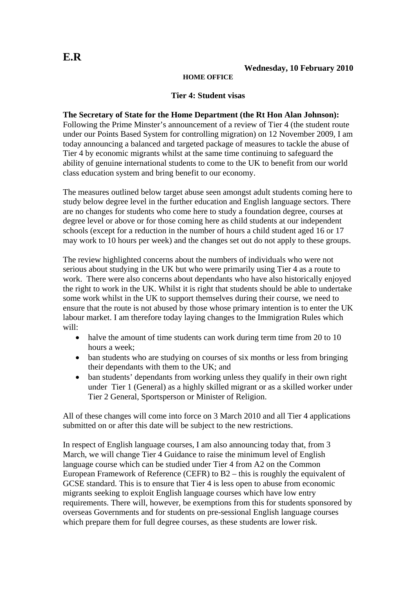## **HOME OFFICE**

## **Tier 4: Student visas**

## **The Secretary of State for the Home Department (the Rt Hon Alan Johnson):**

Following the Prime Minster's announcement of a review of Tier 4 (the student route under our Points Based System for controlling migration) on 12 November 2009, I am today announcing a balanced and targeted package of measures to tackle the abuse of Tier 4 by economic migrants whilst at the same time continuing to safeguard the ability of genuine international students to come to the UK to benefit from our world class education system and bring benefit to our economy.

The measures outlined below target abuse seen amongst adult students coming here to study below degree level in the further education and English language sectors. There are no changes for students who come here to study a foundation degree, courses at degree level or above or for those coming here as child students at our independent schools (except for a reduction in the number of hours a child student aged 16 or 17 may work to 10 hours per week) and the changes set out do not apply to these groups.

The review highlighted concerns about the numbers of individuals who were not serious about studying in the UK but who were primarily using Tier 4 as a route to work. There were also concerns about dependants who have also historically enjoyed the right to work in the UK. Whilst it is right that students should be able to undertake some work whilst in the UK to support themselves during their course, we need to ensure that the route is not abused by those whose primary intention is to enter the UK labour market. I am therefore today laying changes to the Immigration Rules which will:

- halve the amount of time students can work during term time from 20 to 10 hours a week;
- ban students who are studying on courses of six months or less from bringing their dependants with them to the UK; and
- ban students' dependants from working unless they qualify in their own right under Tier 1 (General) as a highly skilled migrant or as a skilled worker under Tier 2 General, Sportsperson or Minister of Religion.

All of these changes will come into force on 3 March 2010 and all Tier 4 applications submitted on or after this date will be subject to the new restrictions.

In respect of English language courses, I am also announcing today that, from 3 March, we will change Tier 4 Guidance to raise the minimum level of English language course which can be studied under Tier 4 from A2 on the Common European Framework of Reference (CEFR) to B2 – this is roughly the equivalent of GCSE standard. This is to ensure that Tier 4 is less open to abuse from economic migrants seeking to exploit English language courses which have low entry requirements. There will, however, be exemptions from this for students sponsored by overseas Governments and for students on pre-sessional English language courses which prepare them for full degree courses, as these students are lower risk.